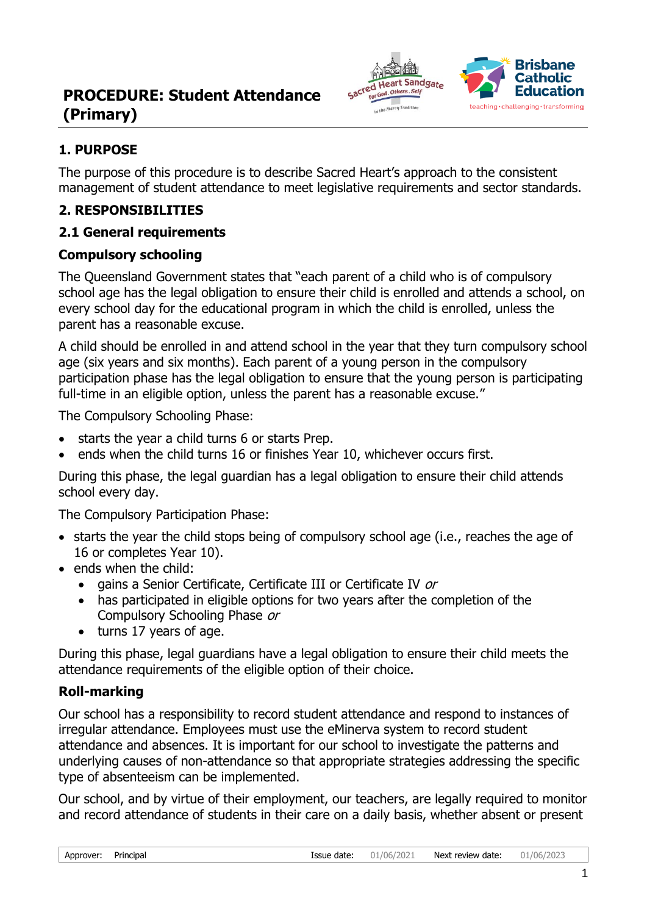

## **1. PURPOSE**

The purpose of this procedure is to describe Sacred Heart's approach to the consistent management of student attendance to meet legislative requirements and sector standards.

### **2. RESPONSIBILITIES**

### **2.1 General requirements**

### **Compulsory schooling**

The Queensland Government states that "each parent of a child who is of compulsory school age has the legal obligation to ensure their child is enrolled and attends a school, on every school day for the educational program in which the child is enrolled, unless the parent has a reasonable excuse.

A child should be enrolled in and attend school in the year that they turn compulsory school age (six years and six months). Each parent of a young person in the compulsory participation phase has the legal obligation to ensure that the young person is participating full-time in an eligible option, unless the parent has a reasonable excuse."

The Compulsory Schooling Phase:

- starts the year a child turns 6 or starts Prep.
- ends when the child turns 16 or finishes Year 10, whichever occurs first.

During this phase, the legal guardian has a legal obligation to ensure their child attends school every day.

The Compulsory Participation Phase:

- starts the year the child stops being of compulsory school age (i.e., reaches the age of 16 or completes Year 10).
- ends when the child:
	- gains a Senior Certificate, Certificate III or Certificate IV or
	- has participated in eligible options for two years after the completion of the Compulsory Schooling Phase or
	- turns 17 years of age.

During this phase, legal guardians have a legal obligation to ensure their child meets the attendance requirements of the eligible option of their choice.

### **Roll-marking**

Our school has a responsibility to record student attendance and respond to instances of irregular attendance. Employees must use the eMinerva system to record student attendance and absences. It is important for our school to investigate the patterns and underlying causes of non-attendance so that appropriate strategies addressing the specific type of absenteeism can be implemented.

Our school, and by virtue of their employment, our teachers, are legally required to monitor and record attendance of students in their care on a daily basis, whether absent or present

| Approver: | Principal | Issue date: | 01/06/2021 <b>Next review date:</b> | 01/06/2023 |
|-----------|-----------|-------------|-------------------------------------|------------|
|           |           |             |                                     |            |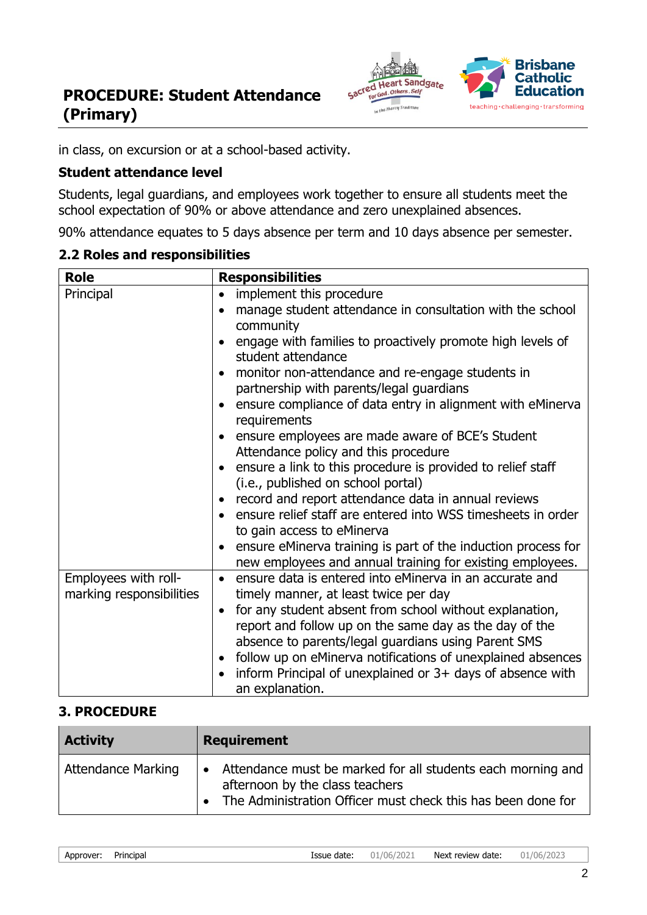

in class, on excursion or at a school-based activity.

#### **Student attendance level**

Students, legal guardians, and employees work together to ensure all students meet the school expectation of 90% or above attendance and zero unexplained absences.

90% attendance equates to 5 days absence per term and 10 days absence per semester.

#### **2.2 Roles and responsibilities**

| <b>Role</b>              | <b>Responsibilities</b>                                                                                                    |
|--------------------------|----------------------------------------------------------------------------------------------------------------------------|
| Principal                | implement this procedure<br>$\bullet$                                                                                      |
|                          | manage student attendance in consultation with the school                                                                  |
|                          | community                                                                                                                  |
|                          | engage with families to proactively promote high levels of<br>student attendance                                           |
|                          | monitor non-attendance and re-engage students in                                                                           |
|                          | partnership with parents/legal guardians                                                                                   |
|                          | ensure compliance of data entry in alignment with eMinerva<br>requirements                                                 |
|                          | ensure employees are made aware of BCE's Student                                                                           |
|                          | Attendance policy and this procedure                                                                                       |
|                          | ensure a link to this procedure is provided to relief staff                                                                |
|                          | (i.e., published on school portal)                                                                                         |
|                          | record and report attendance data in annual reviews                                                                        |
|                          | ensure relief staff are entered into WSS timesheets in order                                                               |
|                          | to gain access to eMinerva                                                                                                 |
|                          | ensure eMinerva training is part of the induction process for<br>new employees and annual training for existing employees. |
| Employees with roll-     | ensure data is entered into eMinerva in an accurate and<br>$\bullet$                                                       |
| marking responsibilities | timely manner, at least twice per day                                                                                      |
|                          | for any student absent from school without explanation,<br>$\bullet$                                                       |
|                          | report and follow up on the same day as the day of the                                                                     |
|                          | absence to parents/legal guardians using Parent SMS                                                                        |
|                          | follow up on eMinerva notifications of unexplained absences                                                                |
|                          | inform Principal of unexplained or 3+ days of absence with                                                                 |
|                          | an explanation.                                                                                                            |

#### **3. PROCEDURE**

| <b>Activity</b>           | <b>Requirement</b>                                                                                                                                             |
|---------------------------|----------------------------------------------------------------------------------------------------------------------------------------------------------------|
| <b>Attendance Marking</b> | Attendance must be marked for all students each morning and<br>afternoon by the class teachers<br>The Administration Officer must check this has been done for |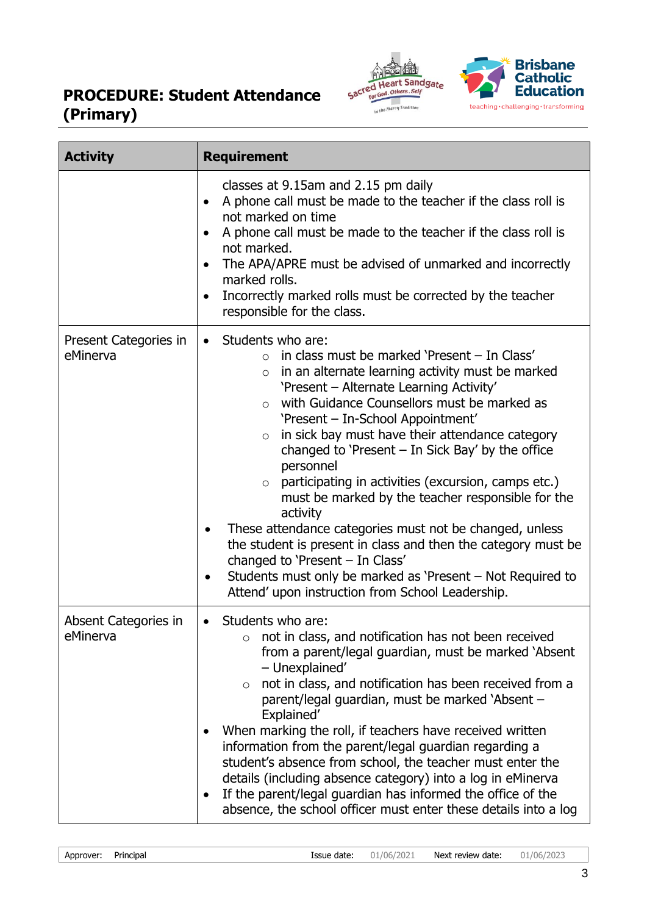

| <b>Activity</b>                   | <b>Requirement</b>                                                                                                                                                                                                                                                                                                                                                                                                                                                                                                                                                                                                                                                                                                                                                                                                                                         |
|-----------------------------------|------------------------------------------------------------------------------------------------------------------------------------------------------------------------------------------------------------------------------------------------------------------------------------------------------------------------------------------------------------------------------------------------------------------------------------------------------------------------------------------------------------------------------------------------------------------------------------------------------------------------------------------------------------------------------------------------------------------------------------------------------------------------------------------------------------------------------------------------------------|
|                                   | classes at 9.15am and 2.15 pm daily<br>A phone call must be made to the teacher if the class roll is<br>$\bullet$<br>not marked on time<br>A phone call must be made to the teacher if the class roll is<br>$\bullet$<br>not marked.<br>The APA/APRE must be advised of unmarked and incorrectly<br>$\bullet$<br>marked rolls.<br>Incorrectly marked rolls must be corrected by the teacher<br>$\bullet$<br>responsible for the class.                                                                                                                                                                                                                                                                                                                                                                                                                     |
| Present Categories in<br>eMinerva | Students who are:<br>$\bullet$<br>in class must be marked 'Present - In Class'<br>$\bigcirc$<br>in an alternate learning activity must be marked<br>$\circ$<br>'Present - Alternate Learning Activity'<br>with Guidance Counsellors must be marked as<br>$\circ$<br>'Present - In-School Appointment'<br>in sick bay must have their attendance category<br>$\circ$<br>changed to 'Present $-$ In Sick Bay' by the office<br>personnel<br>participating in activities (excursion, camps etc.)<br>$\circ$<br>must be marked by the teacher responsible for the<br>activity<br>These attendance categories must not be changed, unless<br>the student is present in class and then the category must be<br>changed to 'Present - In Class'<br>Students must only be marked as 'Present – Not Required to<br>Attend' upon instruction from School Leadership. |
| Absent Categories in<br>eMinerva  | Students who are:<br>$\bullet$<br>not in class, and notification has not been received<br>$\circ$<br>from a parent/legal guardian, must be marked 'Absent<br>- Unexplained'<br>not in class, and notification has been received from a<br>$\circ$<br>parent/legal guardian, must be marked 'Absent -<br>Explained'<br>When marking the roll, if teachers have received written<br>information from the parent/legal guardian regarding a<br>student's absence from school, the teacher must enter the<br>details (including absence category) into a log in eMinerva<br>If the parent/legal guardian has informed the office of the<br>$\bullet$<br>absence, the school officer must enter these details into a log                                                                                                                                        |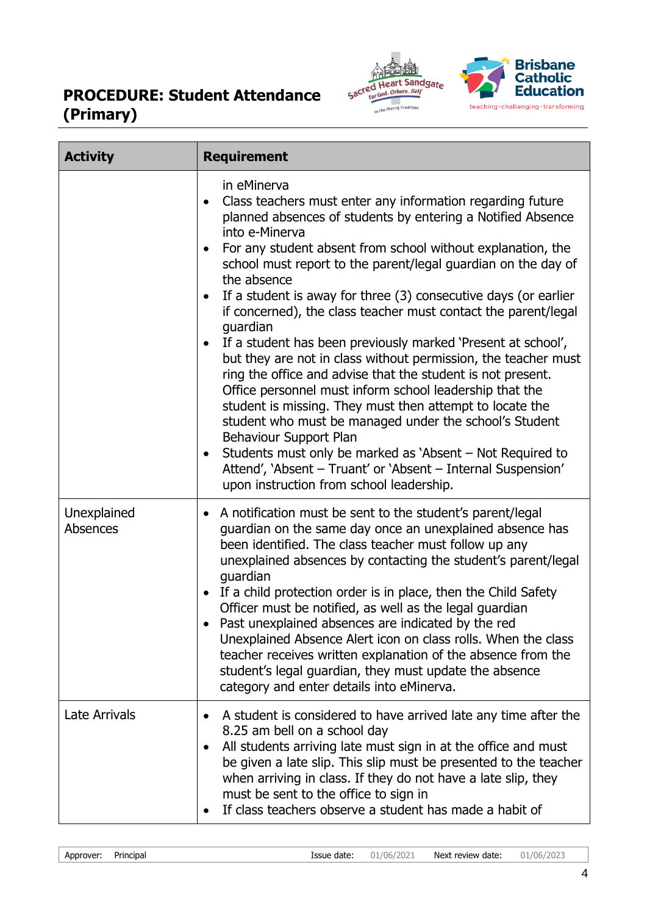

| <b>Activity</b>         | <b>Requirement</b>                                                                                                                                                                                                                                                                                                                                                                                                                                                                                                                                                                                                                                                                                                                                                                                                                                                                                                                                                                                                                              |
|-------------------------|-------------------------------------------------------------------------------------------------------------------------------------------------------------------------------------------------------------------------------------------------------------------------------------------------------------------------------------------------------------------------------------------------------------------------------------------------------------------------------------------------------------------------------------------------------------------------------------------------------------------------------------------------------------------------------------------------------------------------------------------------------------------------------------------------------------------------------------------------------------------------------------------------------------------------------------------------------------------------------------------------------------------------------------------------|
|                         | in eMinerva<br>Class teachers must enter any information regarding future<br>planned absences of students by entering a Notified Absence<br>into e-Minerva<br>For any student absent from school without explanation, the<br>school must report to the parent/legal guardian on the day of<br>the absence<br>If a student is away for three (3) consecutive days (or earlier<br>if concerned), the class teacher must contact the parent/legal<br>guardian<br>If a student has been previously marked 'Present at school',<br>but they are not in class without permission, the teacher must<br>ring the office and advise that the student is not present.<br>Office personnel must inform school leadership that the<br>student is missing. They must then attempt to locate the<br>student who must be managed under the school's Student<br>Behaviour Support Plan<br>Students must only be marked as 'Absent – Not Required to<br>Attend', 'Absent - Truant' or 'Absent - Internal Suspension'<br>upon instruction from school leadership. |
| Unexplained<br>Absences | A notification must be sent to the student's parent/legal<br>guardian on the same day once an unexplained absence has<br>been identified. The class teacher must follow up any<br>unexplained absences by contacting the student's parent/legal<br>quardian<br>If a child protection order is in place, then the Child Safety<br>$\bullet$<br>Officer must be notified, as well as the legal guardian<br>Past unexplained absences are indicated by the red<br>Unexplained Absence Alert icon on class rolls. When the class<br>teacher receives written explanation of the absence from the<br>student's legal guardian, they must update the absence<br>category and enter details into eMinerva.                                                                                                                                                                                                                                                                                                                                             |
| <b>Late Arrivals</b>    | A student is considered to have arrived late any time after the<br>8.25 am bell on a school day<br>All students arriving late must sign in at the office and must<br>be given a late slip. This slip must be presented to the teacher<br>when arriving in class. If they do not have a late slip, they<br>must be sent to the office to sign in<br>If class teachers observe a student has made a habit of                                                                                                                                                                                                                                                                                                                                                                                                                                                                                                                                                                                                                                      |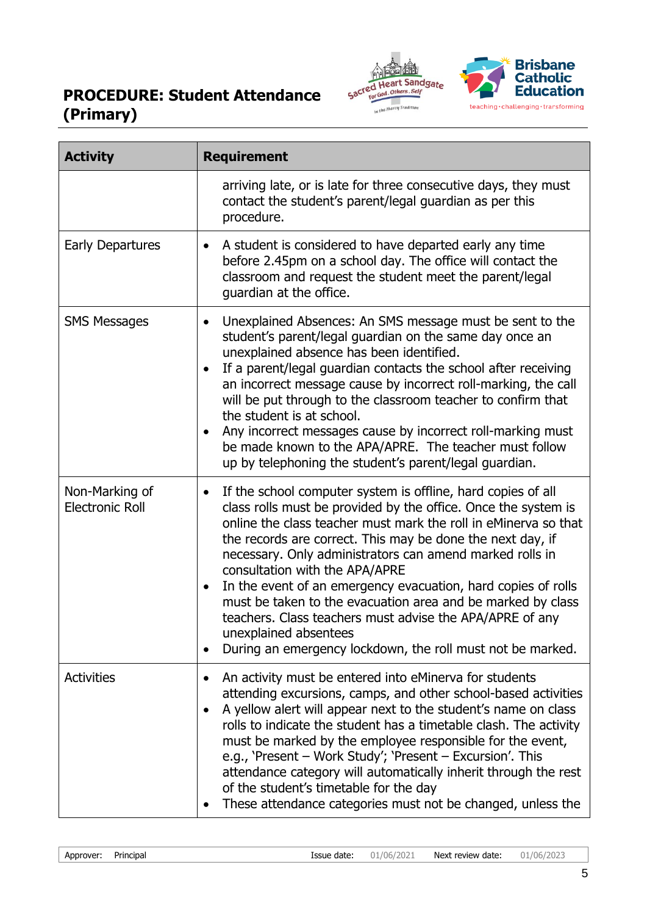

| <b>Activity</b>                          | <b>Requirement</b>                                                                                                                                                                                                                                                                                                                                                                                                                                                                                                                                                                                                                                                         |
|------------------------------------------|----------------------------------------------------------------------------------------------------------------------------------------------------------------------------------------------------------------------------------------------------------------------------------------------------------------------------------------------------------------------------------------------------------------------------------------------------------------------------------------------------------------------------------------------------------------------------------------------------------------------------------------------------------------------------|
|                                          | arriving late, or is late for three consecutive days, they must<br>contact the student's parent/legal guardian as per this<br>procedure.                                                                                                                                                                                                                                                                                                                                                                                                                                                                                                                                   |
| <b>Early Departures</b>                  | A student is considered to have departed early any time<br>$\bullet$<br>before 2.45pm on a school day. The office will contact the<br>classroom and request the student meet the parent/legal<br>guardian at the office.                                                                                                                                                                                                                                                                                                                                                                                                                                                   |
| <b>SMS Messages</b>                      | Unexplained Absences: An SMS message must be sent to the<br>$\bullet$<br>student's parent/legal guardian on the same day once an<br>unexplained absence has been identified.<br>If a parent/legal guardian contacts the school after receiving<br>an incorrect message cause by incorrect roll-marking, the call<br>will be put through to the classroom teacher to confirm that<br>the student is at school.<br>Any incorrect messages cause by incorrect roll-marking must<br>be made known to the APA/APRE. The teacher must follow<br>up by telephoning the student's parent/legal guardian.                                                                           |
| Non-Marking of<br><b>Electronic Roll</b> | If the school computer system is offline, hard copies of all<br>$\bullet$<br>class rolls must be provided by the office. Once the system is<br>online the class teacher must mark the roll in eMinerva so that<br>the records are correct. This may be done the next day, if<br>necessary. Only administrators can amend marked rolls in<br>consultation with the APA/APRE<br>In the event of an emergency evacuation, hard copies of rolls<br>must be taken to the evacuation area and be marked by class<br>teachers. Class teachers must advise the APA/APRE of any<br>unexplained absentees<br>During an emergency lockdown, the roll must not be marked.<br>$\bullet$ |
| <b>Activities</b>                        | An activity must be entered into eMinerva for students<br>attending excursions, camps, and other school-based activities<br>A yellow alert will appear next to the student's name on class<br>rolls to indicate the student has a timetable clash. The activity<br>must be marked by the employee responsible for the event,<br>e.g., 'Present - Work Study'; 'Present - Excursion'. This<br>attendance category will automatically inherit through the rest<br>of the student's timetable for the day<br>These attendance categories must not be changed, unless the                                                                                                      |